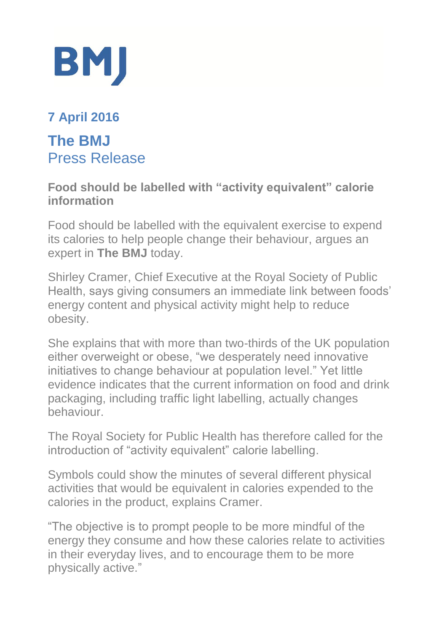

## **7 April 2016**

# **The BMJ**  Press Release

#### **Food should be labelled with "activity equivalent" calorie information**

Food should be labelled with the equivalent exercise to expend its calories to help people change their behaviour, argues an expert in **The BMJ** today.

Shirley Cramer, Chief Executive at the Royal Society of Public Health, says giving consumers an immediate link between foods' energy content and physical activity might help to reduce obesity.

She explains that with more than two-thirds of the UK population either overweight or obese, "we desperately need innovative initiatives to change behaviour at population level." Yet little evidence indicates that the current information on food and drink packaging, including traffic light labelling, actually changes behaviour.

The Royal Society for Public Health has therefore called for the introduction of "activity equivalent" calorie labelling.

Symbols could show the minutes of several different physical activities that would be equivalent in calories expended to the calories in the product, explains Cramer.

"The objective is to prompt people to be more mindful of the energy they consume and how these calories relate to activities in their everyday lives, and to encourage them to be more physically active."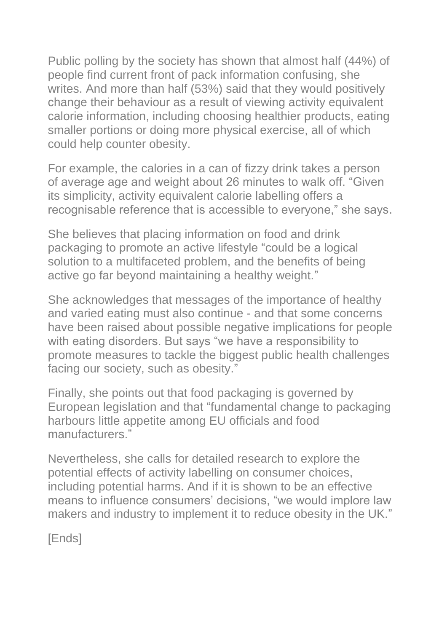Public polling by the society has shown that almost half (44%) of people find current front of pack information confusing, she writes. And more than half (53%) said that they would positively change their behaviour as a result of viewing activity equivalent calorie information, including choosing healthier products, eating smaller portions or doing more physical exercise, all of which could help counter obesity.

For example, the calories in a can of fizzy drink takes a person of average age and weight about 26 minutes to walk off. "Given its simplicity, activity equivalent calorie labelling offers a recognisable reference that is accessible to everyone," she says.

She believes that placing information on food and drink packaging to promote an active lifestyle "could be a logical solution to a multifaceted problem, and the benefits of being active go far beyond maintaining a healthy weight."

She acknowledges that messages of the importance of healthy and varied eating must also continue - and that some concerns have been raised about possible negative implications for people with eating disorders. But says "we have a responsibility to promote measures to tackle the biggest public health challenges facing our society, such as obesity."

Finally, she points out that food packaging is governed by European legislation and that "fundamental change to packaging harbours little appetite among EU officials and food manufacturers."

Nevertheless, she calls for detailed research to explore the potential effects of activity labelling on consumer choices, including potential harms. And if it is shown to be an effective means to influence consumers' decisions, "we would implore law makers and industry to implement it to reduce obesity in the UK."

[Ends]